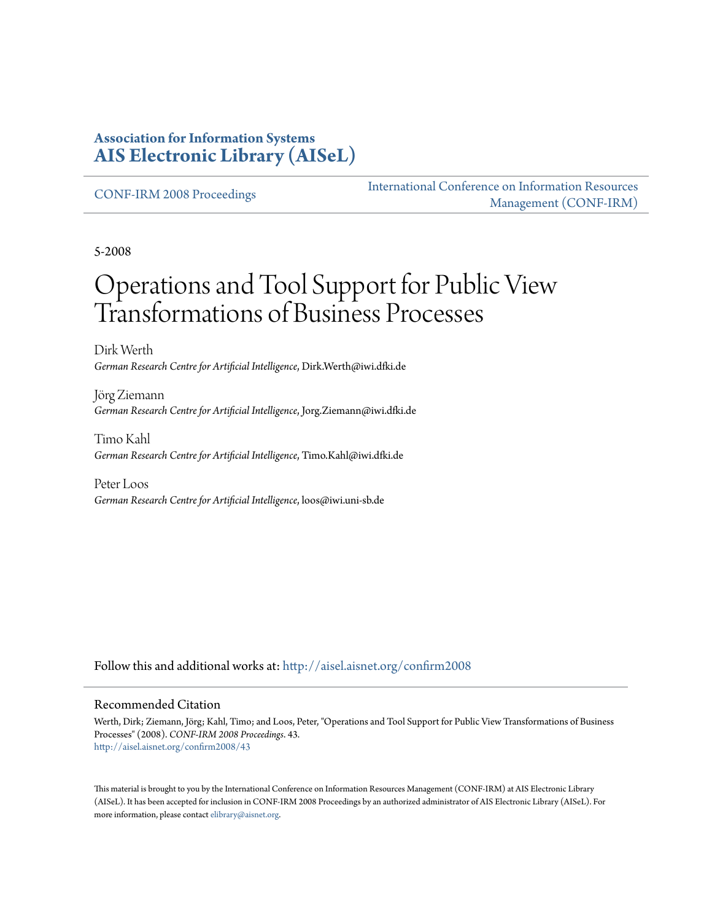#### **Association for Information Systems [AIS Electronic Library \(AISeL\)](http://aisel.aisnet.org?utm_source=aisel.aisnet.org%2Fconfirm2008%2F43&utm_medium=PDF&utm_campaign=PDFCoverPages)**

[CONF-IRM 2008 Proceedings](http://aisel.aisnet.org/confirm2008?utm_source=aisel.aisnet.org%2Fconfirm2008%2F43&utm_medium=PDF&utm_campaign=PDFCoverPages)

[International Conference on Information Resources](http://aisel.aisnet.org/conf-irm?utm_source=aisel.aisnet.org%2Fconfirm2008%2F43&utm_medium=PDF&utm_campaign=PDFCoverPages) [Management \(CONF-IRM\)](http://aisel.aisnet.org/conf-irm?utm_source=aisel.aisnet.org%2Fconfirm2008%2F43&utm_medium=PDF&utm_campaign=PDFCoverPages)

5-2008

# Operations and Tool Support for Public View Transformations of Business Processes

Dirk Werth *German Research Centre for Artificial Intelligence*, Dirk.Werth@iwi.dfki.de

Jörg Ziemann *German Research Centre for Artificial Intelligence*, Jorg.Ziemann@iwi.dfki.de

Timo Kahl *German Research Centre for Artificial Intelligence*, Timo.Kahl@iwi.dfki.de

Peter Loos *German Research Centre for Artificial Intelligence*, loos@iwi.uni-sb.de

Follow this and additional works at: [http://aisel.aisnet.org/confirm2008](http://aisel.aisnet.org/confirm2008?utm_source=aisel.aisnet.org%2Fconfirm2008%2F43&utm_medium=PDF&utm_campaign=PDFCoverPages)

#### Recommended Citation

Werth, Dirk; Ziemann, Jörg; Kahl, Timo; and Loos, Peter, "Operations and Tool Support for Public View Transformations of Business Processes" (2008). *CONF-IRM 2008 Proceedings*. 43. [http://aisel.aisnet.org/confirm2008/43](http://aisel.aisnet.org/confirm2008/43?utm_source=aisel.aisnet.org%2Fconfirm2008%2F43&utm_medium=PDF&utm_campaign=PDFCoverPages)

This material is brought to you by the International Conference on Information Resources Management (CONF-IRM) at AIS Electronic Library (AISeL). It has been accepted for inclusion in CONF-IRM 2008 Proceedings by an authorized administrator of AIS Electronic Library (AISeL). For more information, please contact [elibrary@aisnet.org.](mailto:elibrary@aisnet.org%3E)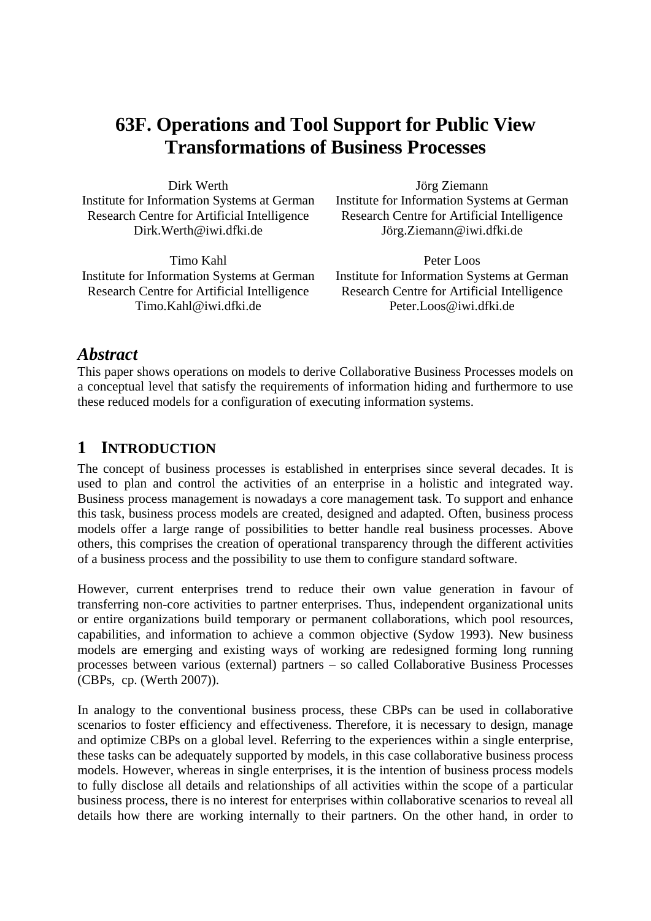# **63F. Operations and Tool Support for Public View Transformations of Business Processes**

Dirk Werth Institute for Information Systems at German Research Centre for Artificial Intelligence Dirk.Werth@iwi.dfki.de

Timo Kahl Institute for Information Systems at German Research Centre for Artificial Intelligence Timo.Kahl@iwi.dfki.de

Jörg Ziemann Institute for Information Systems at German Research Centre for Artificial Intelligence Jörg.Ziemann@iwi.dfki.de

Peter Loos Institute for Information Systems at German Research Centre for Artificial Intelligence Peter.Loos@iwi.dfki.de

#### *Abstract*

This paper shows operations on models to derive Collaborative Business Processes models on a conceptual level that satisfy the requirements of information hiding and furthermore to use these reduced models for a configuration of executing information systems.

# **1 INTRODUCTION**

The concept of business processes is established in enterprises since several decades. It is used to plan and control the activities of an enterprise in a holistic and integrated way. Business process management is nowadays a core management task. To support and enhance this task, business process models are created, designed and adapted. Often, business process models offer a large range of possibilities to better handle real business processes. Above others, this comprises the creation of operational transparency through the different activities of a business process and the possibility to use them to configure standard software.

However, current enterprises trend to reduce their own value generation in favour of transferring non-core activities to partner enterprises. Thus, independent organizational units or entire organizations build temporary or permanent collaborations, which pool resources, capabilities, and information to achieve a common objective (Sydow 1993). New business models are emerging and existing ways of working are redesigned forming long running processes between various (external) partners – so called Collaborative Business Processes (CBPs, cp. (Werth 2007)).

In analogy to the conventional business process, these CBPs can be used in collaborative scenarios to foster efficiency and effectiveness. Therefore, it is necessary to design, manage and optimize CBPs on a global level. Referring to the experiences within a single enterprise, these tasks can be adequately supported by models, in this case collaborative business process models. However, whereas in single enterprises, it is the intention of business process models to fully disclose all details and relationships of all activities within the scope of a particular business process, there is no interest for enterprises within collaborative scenarios to reveal all details how there are working internally to their partners. On the other hand, in order to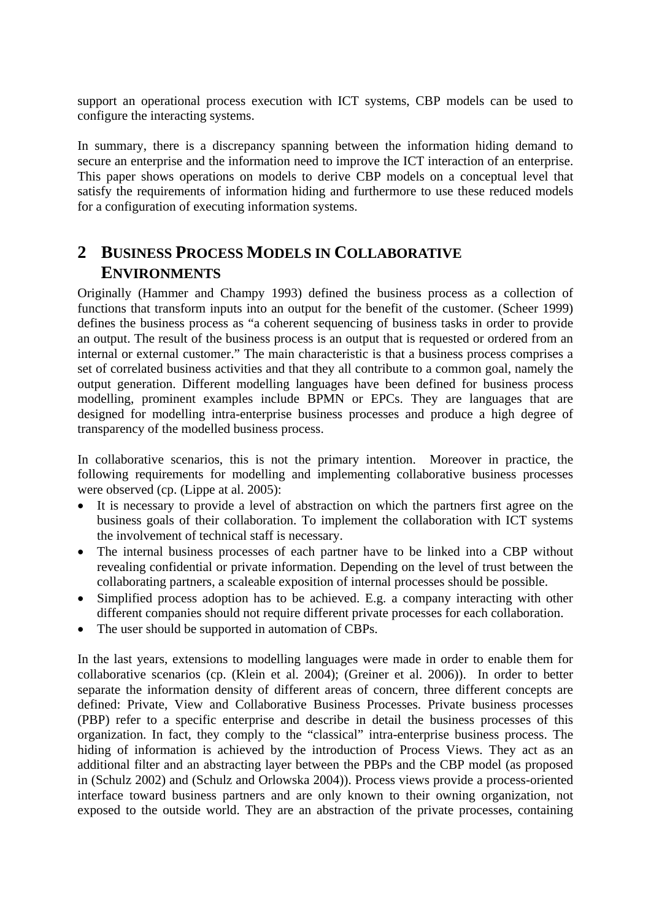support an operational process execution with ICT systems, CBP models can be used to configure the interacting systems.

In summary, there is a discrepancy spanning between the information hiding demand to secure an enterprise and the information need to improve the ICT interaction of an enterprise. This paper shows operations on models to derive CBP models on a conceptual level that satisfy the requirements of information hiding and furthermore to use these reduced models for a configuration of executing information systems.

# **2 BUSINESS PROCESS MODELS IN COLLABORATIVE ENVIRONMENTS**

Originally (Hammer and Champy 1993) defined the business process as a collection of functions that transform inputs into an output for the benefit of the customer. (Scheer 1999) defines the business process as "a coherent sequencing of business tasks in order to provide an output. The result of the business process is an output that is requested or ordered from an internal or external customer." The main characteristic is that a business process comprises a set of correlated business activities and that they all contribute to a common goal, namely the output generation. Different modelling languages have been defined for business process modelling, prominent examples include BPMN or EPCs. They are languages that are designed for modelling intra-enterprise business processes and produce a high degree of transparency of the modelled business process.

In collaborative scenarios, this is not the primary intention. Moreover in practice, the following requirements for modelling and implementing collaborative business processes were observed (cp. (Lippe at al. 2005):

- It is necessary to provide a level of abstraction on which the partners first agree on the business goals of their collaboration. To implement the collaboration with ICT systems the involvement of technical staff is necessary.
- The internal business processes of each partner have to be linked into a CBP without revealing confidential or private information. Depending on the level of trust between the collaborating partners, a scaleable exposition of internal processes should be possible.
- Simplified process adoption has to be achieved. E.g. a company interacting with other different companies should not require different private processes for each collaboration.
- The user should be supported in automation of CBPs.

In the last years, extensions to modelling languages were made in order to enable them for collaborative scenarios (cp. (Klein et al. 2004); (Greiner et al. 2006)). In order to better separate the information density of different areas of concern, three different concepts are defined: Private, View and Collaborative Business Processes. Private business processes (PBP) refer to a specific enterprise and describe in detail the business processes of this organization. In fact, they comply to the "classical" intra-enterprise business process. The hiding of information is achieved by the introduction of Process Views. They act as an additional filter and an abstracting layer between the PBPs and the CBP model (as proposed in (Schulz 2002) and (Schulz and Orlowska 2004)). Process views provide a process-oriented interface toward business partners and are only known to their owning organization, not exposed to the outside world. They are an abstraction of the private processes, containing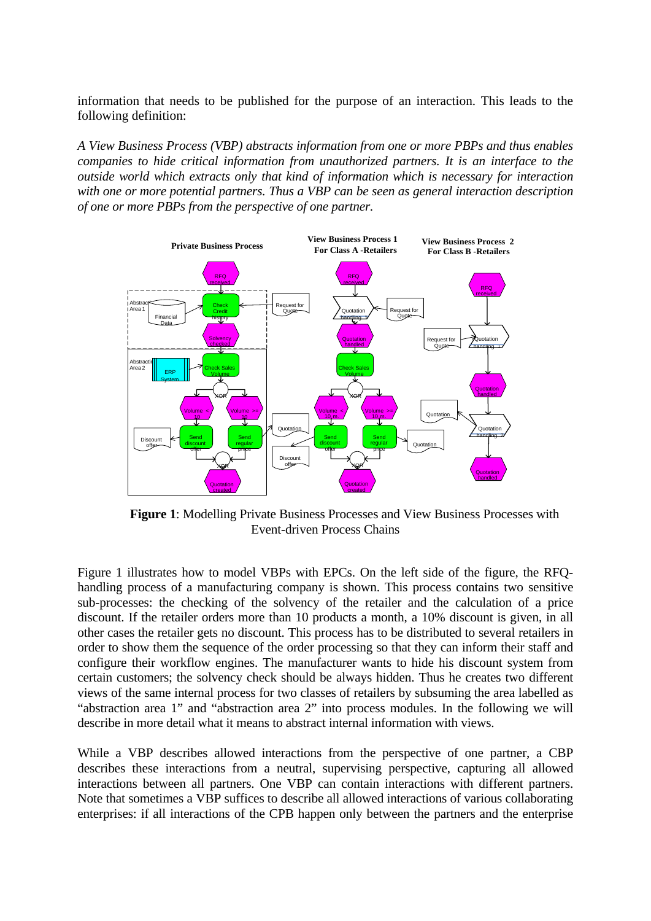information that needs to be published for the purpose of an interaction. This leads to the following definition:

*A View Business Process (VBP) abstracts information from one or more PBPs and thus enables companies to hide critical information from unauthorized partners. It is an interface to the outside world which extracts only that kind of information which is necessary for interaction with one or more potential partners. Thus a VBP can be seen as general interaction description of one or more PBPs from the perspective of one partner.* 



**Figure 1**: Modelling Private Business Processes and View Business Processes with Event-driven Process Chains

Figure 1 illustrates how to model VBPs with EPCs. On the left side of the figure, the RFQhandling process of a manufacturing company is shown. This process contains two sensitive sub-processes: the checking of the solvency of the retailer and the calculation of a price discount. If the retailer orders more than 10 products a month, a 10% discount is given, in all other cases the retailer gets no discount. This process has to be distributed to several retailers in order to show them the sequence of the order processing so that they can inform their staff and configure their workflow engines. The manufacturer wants to hide his discount system from certain customers; the solvency check should be always hidden. Thus he creates two different views of the same internal process for two classes of retailers by subsuming the area labelled as "abstraction area 1" and "abstraction area 2" into process modules. In the following we will describe in more detail what it means to abstract internal information with views.

While a VBP describes allowed interactions from the perspective of one partner, a CBP describes these interactions from a neutral, supervising perspective, capturing all allowed interactions between all partners. One VBP can contain interactions with different partners. Note that sometimes a VBP suffices to describe all allowed interactions of various collaborating enterprises: if all interactions of the CPB happen only between the partners and the enterprise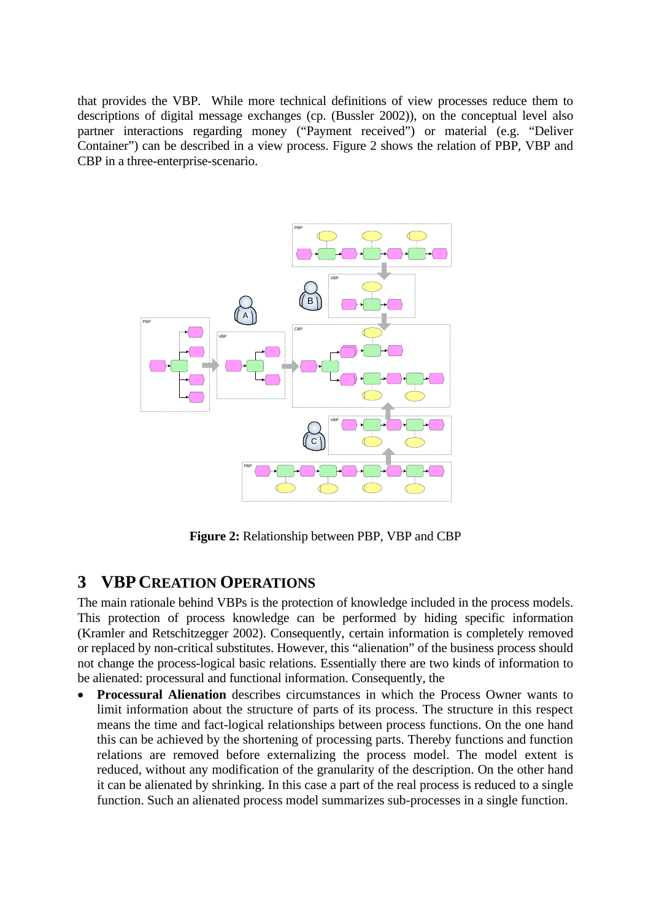that provides the VBP. While more technical definitions of view processes reduce them to descriptions of digital message exchanges (cp. (Bussler 2002)), on the conceptual level also partner interactions regarding money ("Payment received") or material (e.g. "Deliver Container") can be described in a view process. Figure 2 shows the relation of PBP, VBP and CBP in a three-enterprise-scenario.



**Figure 2:** Relationship between PBP, VBP and CBP

# **3 VBP CREATION OPERATIONS**

The main rationale behind VBPs is the protection of knowledge included in the process models. This protection of process knowledge can be performed by hiding specific information (Kramler and Retschitzegger 2002). Consequently, certain information is completely removed or replaced by non-critical substitutes. However, this "alienation" of the business process should not change the process-logical basic relations. Essentially there are two kinds of information to be alienated: processural and functional information. Consequently, the

• **Processural Alienation** describes circumstances in which the Process Owner wants to limit information about the structure of parts of its process. The structure in this respect means the time and fact-logical relationships between process functions. On the one hand this can be achieved by the shortening of processing parts. Thereby functions and function relations are removed before externalizing the process model. The model extent is reduced, without any modification of the granularity of the description. On the other hand it can be alienated by shrinking. In this case a part of the real process is reduced to a single function. Such an alienated process model summarizes sub-processes in a single function.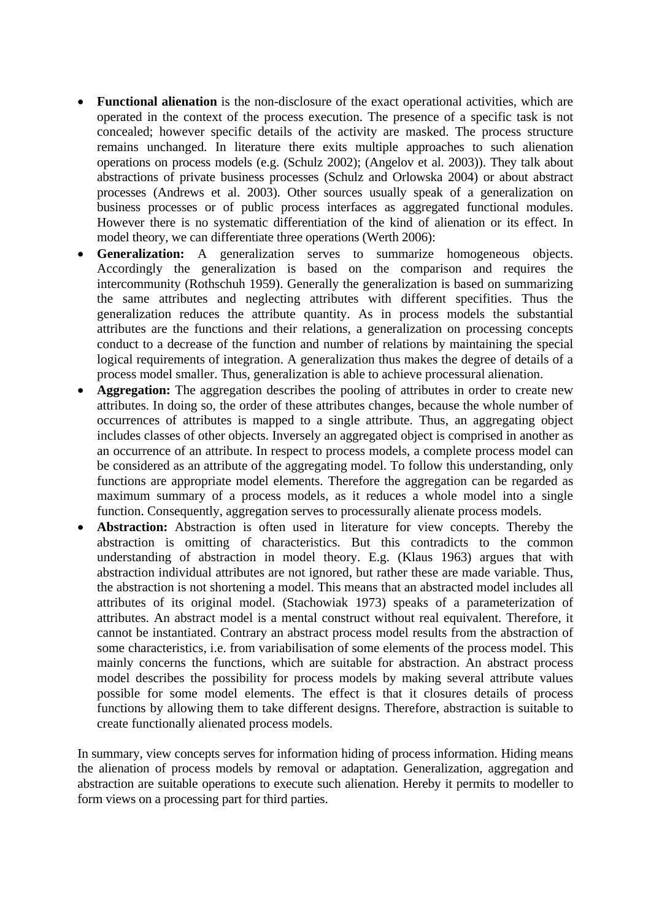- **Functional alienation** is the non-disclosure of the exact operational activities, which are operated in the context of the process execution. The presence of a specific task is not concealed; however specific details of the activity are masked. The process structure remains unchanged. In literature there exits multiple approaches to such alienation operations on process models (e.g. (Schulz 2002); (Angelov et al. 2003)). They talk about abstractions of private business processes (Schulz and Orlowska 2004) or about abstract processes (Andrews et al. 2003). Other sources usually speak of a generalization on business processes or of public process interfaces as aggregated functional modules. However there is no systematic differentiation of the kind of alienation or its effect. In model theory, we can differentiate three operations (Werth 2006):
- **Generalization:** A generalization serves to summarize homogeneous objects. Accordingly the generalization is based on the comparison and requires the intercommunity (Rothschuh 1959). Generally the generalization is based on summarizing the same attributes and neglecting attributes with different specifities. Thus the generalization reduces the attribute quantity. As in process models the substantial attributes are the functions and their relations, a generalization on processing concepts conduct to a decrease of the function and number of relations by maintaining the special logical requirements of integration. A generalization thus makes the degree of details of a process model smaller. Thus, generalization is able to achieve processural alienation.
- **Aggregation:** The aggregation describes the pooling of attributes in order to create new attributes. In doing so, the order of these attributes changes, because the whole number of occurrences of attributes is mapped to a single attribute. Thus, an aggregating object includes classes of other objects. Inversely an aggregated object is comprised in another as an occurrence of an attribute. In respect to process models, a complete process model can be considered as an attribute of the aggregating model. To follow this understanding, only functions are appropriate model elements. Therefore the aggregation can be regarded as maximum summary of a process models, as it reduces a whole model into a single function. Consequently, aggregation serves to processurally alienate process models.
- Abstraction: Abstraction is often used in literature for view concepts. Thereby the abstraction is omitting of characteristics. But this contradicts to the common understanding of abstraction in model theory. E.g. (Klaus 1963) argues that with abstraction individual attributes are not ignored, but rather these are made variable. Thus, the abstraction is not shortening a model. This means that an abstracted model includes all attributes of its original model. (Stachowiak 1973) speaks of a parameterization of attributes. An abstract model is a mental construct without real equivalent. Therefore, it cannot be instantiated. Contrary an abstract process model results from the abstraction of some characteristics, i.e. from variabilisation of some elements of the process model. This mainly concerns the functions, which are suitable for abstraction. An abstract process model describes the possibility for process models by making several attribute values possible for some model elements. The effect is that it closures details of process functions by allowing them to take different designs. Therefore, abstraction is suitable to create functionally alienated process models.

In summary, view concepts serves for information hiding of process information. Hiding means the alienation of process models by removal or adaptation. Generalization, aggregation and abstraction are suitable operations to execute such alienation. Hereby it permits to modeller to form views on a processing part for third parties.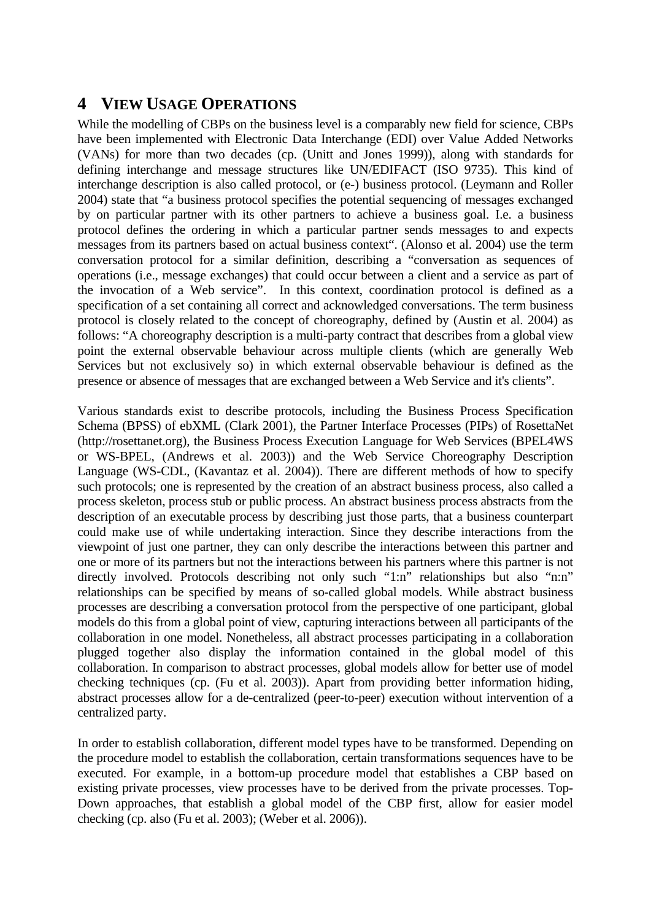# **4 VIEW USAGE OPERATIONS**

While the modelling of CBPs on the business level is a comparably new field for science, CBPs have been implemented with Electronic Data Interchange (EDI) over Value Added Networks (VANs) for more than two decades (cp. (Unitt and Jones 1999)), along with standards for defining interchange and message structures like UN/EDIFACT (ISO 9735). This kind of interchange description is also called protocol, or (e-) business protocol. (Leymann and Roller 2004) state that "a business protocol specifies the potential sequencing of messages exchanged by on particular partner with its other partners to achieve a business goal. I.e. a business protocol defines the ordering in which a particular partner sends messages to and expects messages from its partners based on actual business context". (Alonso et al. 2004) use the term conversation protocol for a similar definition, describing a "conversation as sequences of operations (i.e., message exchanges) that could occur between a client and a service as part of the invocation of a Web service". In this context, coordination protocol is defined as a specification of a set containing all correct and acknowledged conversations. The term business protocol is closely related to the concept of choreography, defined by (Austin et al. 2004) as follows: "A choreography description is a multi-party contract that describes from a global view point the external observable behaviour across multiple clients (which are generally Web Services but not exclusively so) in which external observable behaviour is defined as the presence or absence of messages that are exchanged between a Web Service and it's clients".

Various standards exist to describe protocols, including the Business Process Specification Schema (BPSS) of ebXML (Clark 2001), the Partner Interface Processes (PIPs) of RosettaNet (http://rosettanet.org), the Business Process Execution Language for Web Services (BPEL4WS or WS-BPEL, (Andrews et al. 2003)) and the Web Service Choreography Description Language (WS-CDL, (Kavantaz et al. 2004)). There are different methods of how to specify such protocols; one is represented by the creation of an abstract business process, also called a process skeleton, process stub or public process. An abstract business process abstracts from the description of an executable process by describing just those parts, that a business counterpart could make use of while undertaking interaction. Since they describe interactions from the viewpoint of just one partner, they can only describe the interactions between this partner and one or more of its partners but not the interactions between his partners where this partner is not directly involved. Protocols describing not only such "1:n" relationships but also "n:n" relationships can be specified by means of so-called global models. While abstract business processes are describing a conversation protocol from the perspective of one participant, global models do this from a global point of view, capturing interactions between all participants of the collaboration in one model. Nonetheless, all abstract processes participating in a collaboration plugged together also display the information contained in the global model of this collaboration. In comparison to abstract processes, global models allow for better use of model checking techniques (cp. (Fu et al. 2003)). Apart from providing better information hiding, abstract processes allow for a de-centralized (peer-to-peer) execution without intervention of a centralized party.

In order to establish collaboration, different model types have to be transformed. Depending on the procedure model to establish the collaboration, certain transformations sequences have to be executed. For example, in a bottom-up procedure model that establishes a CBP based on existing private processes, view processes have to be derived from the private processes. Top-Down approaches, that establish a global model of the CBP first, allow for easier model checking (cp. also (Fu et al. 2003); (Weber et al. 2006)).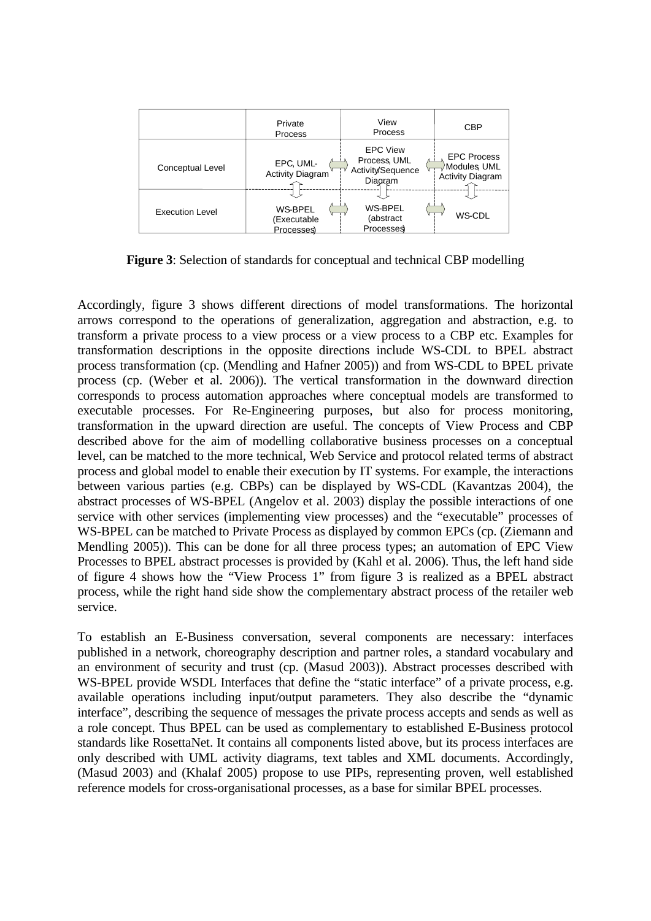

**Figure 3**: Selection of standards for conceptual and technical CBP modelling

Accordingly, figure 3 shows different directions of model transformations. The horizontal arrows correspond to the operations of generalization, aggregation and abstraction, e.g. to transform a private process to a view process or a view process to a CBP etc. Examples for transformation descriptions in the opposite directions include WS-CDL to BPEL abstract process transformation (cp. (Mendling and Hafner 2005)) and from WS-CDL to BPEL private process (cp. (Weber et al. 2006)). The vertical transformation in the downward direction corresponds to process automation approaches where conceptual models are transformed to executable processes. For Re-Engineering purposes, but also for process monitoring, transformation in the upward direction are useful. The concepts of View Process and CBP described above for the aim of modelling collaborative business processes on a conceptual level, can be matched to the more technical, Web Service and protocol related terms of abstract process and global model to enable their execution by IT systems. For example, the interactions between various parties (e.g. CBPs) can be displayed by WS-CDL (Kavantzas 2004), the abstract processes of WS-BPEL (Angelov et al. 2003) display the possible interactions of one service with other services (implementing view processes) and the "executable" processes of WS-BPEL can be matched to Private Process as displayed by common EPCs (cp. (Ziemann and Mendling 2005)). This can be done for all three process types; an automation of EPC View Processes to BPEL abstract processes is provided by (Kahl et al. 2006). Thus, the left hand side of figure 4 shows how the "View Process 1" from figure 3 is realized as a BPEL abstract process, while the right hand side show the complementary abstract process of the retailer web service.

To establish an E-Business conversation, several components are necessary: interfaces published in a network, choreography description and partner roles, a standard vocabulary and an environment of security and trust (cp. (Masud 2003)). Abstract processes described with WS-BPEL provide WSDL Interfaces that define the "static interface" of a private process, e.g. available operations including input/output parameters. They also describe the "dynamic interface", describing the sequence of messages the private process accepts and sends as well as a role concept. Thus BPEL can be used as complementary to established E-Business protocol standards like RosettaNet. It contains all components listed above, but its process interfaces are only described with UML activity diagrams, text tables and XML documents. Accordingly, (Masud 2003) and (Khalaf 2005) propose to use PIPs, representing proven, well established reference models for cross-organisational processes, as a base for similar BPEL processes.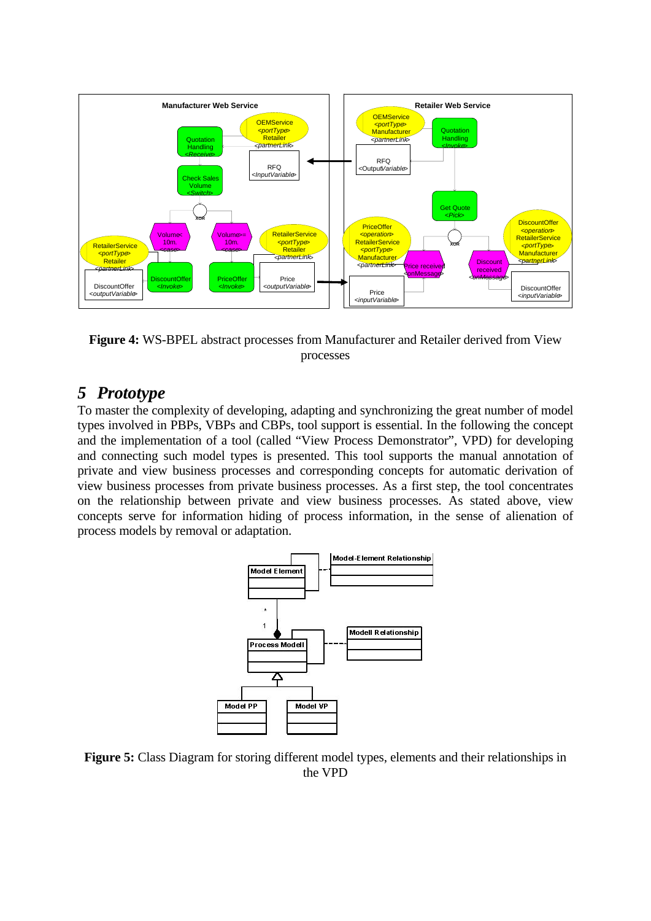

**Figure 4:** WS-BPEL abstract processes from Manufacturer and Retailer derived from View processes

# *5 Prototype*

To master the complexity of developing, adapting and synchronizing the great number of model types involved in PBPs, VBPs and CBPs, tool support is essential. In the following the concept and the implementation of a tool (called "View Process Demonstrator", VPD) for developing and connecting such model types is presented. This tool supports the manual annotation of private and view business processes and corresponding concepts for automatic derivation of view business processes from private business processes. As a first step, the tool concentrates on the relationship between private and view business processes. As stated above, view concepts serve for information hiding of process information, in the sense of alienation of process models by removal or adaptation.



**Figure 5:** Class Diagram for storing different model types, elements and their relationships in the VPD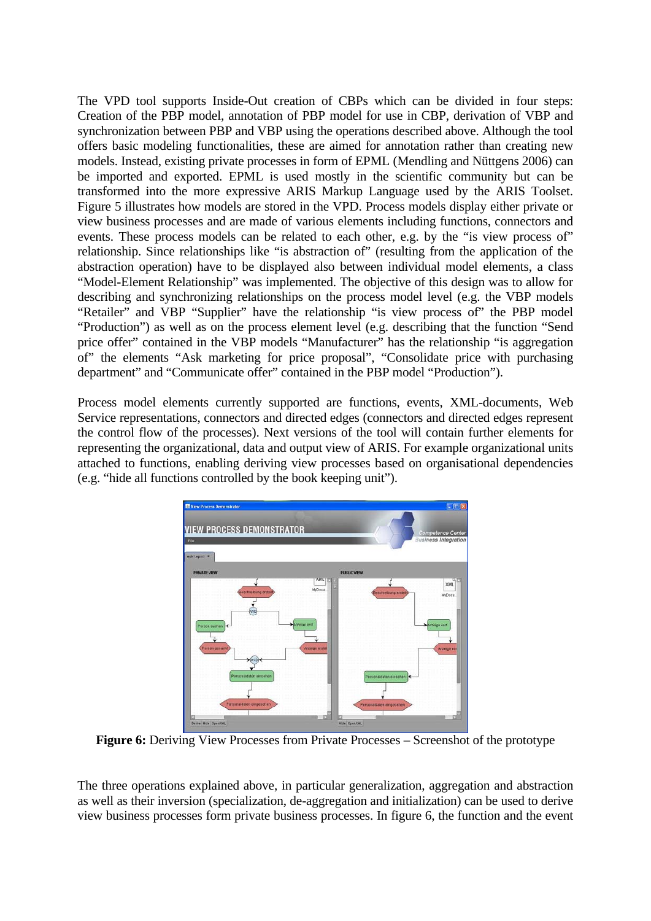The VPD tool supports Inside-Out creation of CBPs which can be divided in four steps: Creation of the PBP model, annotation of PBP model for use in CBP, derivation of VBP and synchronization between PBP and VBP using the operations described above. Although the tool offers basic modeling functionalities, these are aimed for annotation rather than creating new models. Instead, existing private processes in form of EPML (Mendling and Nüttgens 2006) can be imported and exported. EPML is used mostly in the scientific community but can be transformed into the more expressive ARIS Markup Language used by the ARIS Toolset. Figure 5 illustrates how models are stored in the VPD. Process models display either private or view business processes and are made of various elements including functions, connectors and events. These process models can be related to each other, e.g. by the "is view process of" relationship. Since relationships like "is abstraction of" (resulting from the application of the abstraction operation) have to be displayed also between individual model elements, a class "Model-Element Relationship" was implemented. The objective of this design was to allow for describing and synchronizing relationships on the process model level (e.g. the VBP models "Retailer" and VBP "Supplier" have the relationship "is view process of" the PBP model "Production") as well as on the process element level (e.g. describing that the function "Send price offer" contained in the VBP models "Manufacturer" has the relationship "is aggregation of" the elements "Ask marketing for price proposal", "Consolidate price with purchasing department" and "Communicate offer" contained in the PBP model "Production").

Process model elements currently supported are functions, events, XML-documents, Web Service representations, connectors and directed edges (connectors and directed edges represent the control flow of the processes). Next versions of the tool will contain further elements for representing the organizational, data and output view of ARIS. For example organizational units attached to functions, enabling deriving view processes based on organisational dependencies (e.g. "hide all functions controlled by the book keeping unit").



**Figure 6:** Deriving View Processes from Private Processes – Screenshot of the prototype

The three operations explained above, in particular generalization, aggregation and abstraction as well as their inversion (specialization, de-aggregation and initialization) can be used to derive view business processes form private business processes. In figure 6, the function and the event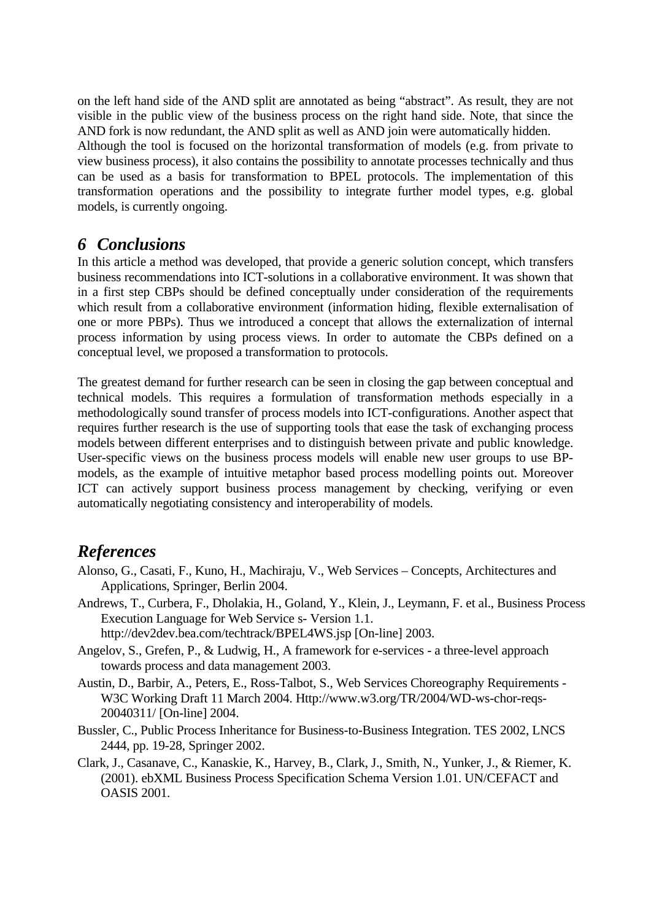on the left hand side of the AND split are annotated as being "abstract". As result, they are not visible in the public view of the business process on the right hand side. Note, that since the AND fork is now redundant, the AND split as well as AND join were automatically hidden. Although the tool is focused on the horizontal transformation of models (e.g. from private to view business process), it also contains the possibility to annotate processes technically and thus can be used as a basis for transformation to BPEL protocols. The implementation of this transformation operations and the possibility to integrate further model types, e.g. global models, is currently ongoing.

# *6 Conclusions*

In this article a method was developed, that provide a generic solution concept, which transfers business recommendations into ICT-solutions in a collaborative environment. It was shown that in a first step CBPs should be defined conceptually under consideration of the requirements which result from a collaborative environment (information hiding, flexible externalisation of one or more PBPs). Thus we introduced a concept that allows the externalization of internal process information by using process views. In order to automate the CBPs defined on a conceptual level, we proposed a transformation to protocols.

The greatest demand for further research can be seen in closing the gap between conceptual and technical models. This requires a formulation of transformation methods especially in a methodologically sound transfer of process models into ICT-configurations. Another aspect that requires further research is the use of supporting tools that ease the task of exchanging process models between different enterprises and to distinguish between private and public knowledge. User-specific views on the business process models will enable new user groups to use BPmodels, as the example of intuitive metaphor based process modelling points out. Moreover ICT can actively support business process management by checking, verifying or even automatically negotiating consistency and interoperability of models.

# *References*

- Alonso, G., Casati, F., Kuno, H., Machiraju, V., Web Services Concepts, Architectures and Applications, Springer, Berlin 2004.
- Andrews, T., Curbera, F., Dholakia, H., Goland, Y., Klein, J., Leymann, F. et al., Business Process Execution Language for Web Service s- Version 1.1. http://dev2dev.bea.com/techtrack/BPEL4WS.jsp [On-line] 2003.
- Angelov, S., Grefen, P., & Ludwig, H., A framework for e-services a three-level approach towards process and data management 2003.
- Austin, D., Barbir, A., Peters, E., Ross-Talbot, S., Web Services Choreography Requirements W3C Working Draft 11 March 2004. Http://www.w3.org/TR/2004/WD-ws-chor-reqs-20040311/ [On-line] 2004.
- Bussler, C., Public Process Inheritance for Business-to-Business Integration. TES 2002, LNCS 2444, pp. 19-28, Springer 2002.
- Clark, J., Casanave, C., Kanaskie, K., Harvey, B., Clark, J., Smith, N., Yunker, J., & Riemer, K. (2001). ebXML Business Process Specification Schema Version 1.01. UN/CEFACT and OASIS 2001.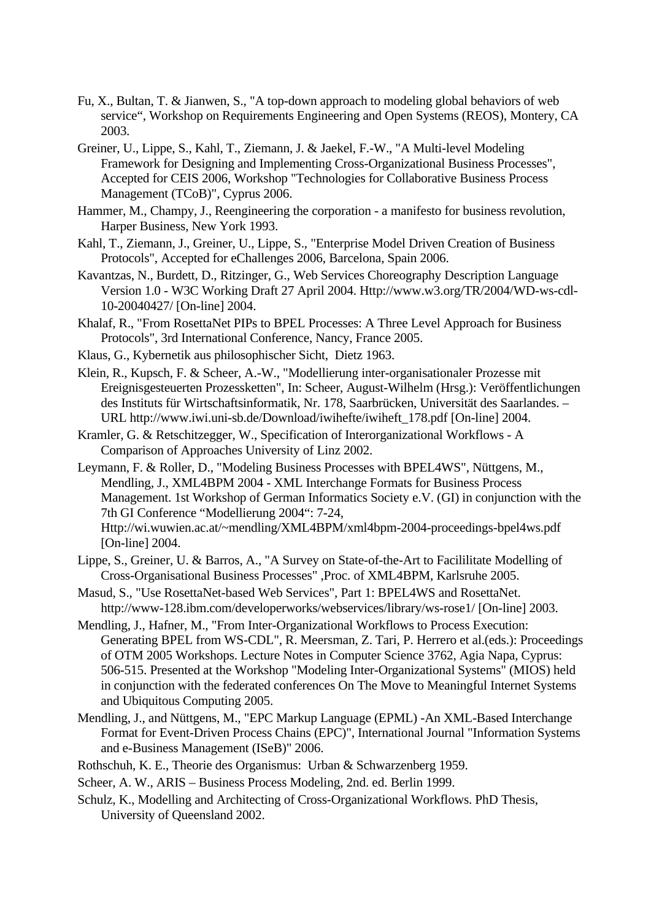- Fu, X., Bultan, T. & Jianwen, S., "A top-down approach to modeling global behaviors of web service", Workshop on Requirements Engineering and Open Systems (REOS), Montery, CA 2003.
- Greiner, U., Lippe, S., Kahl, T., Ziemann, J. & Jaekel, F.-W., "A Multi-level Modeling Framework for Designing and Implementing Cross-Organizational Business Processes", Accepted for CEIS 2006, Workshop "Technologies for Collaborative Business Process Management (TCoB)", Cyprus 2006.
- Hammer, M., Champy, J., Reengineering the corporation a manifesto for business revolution, Harper Business, New York 1993.
- Kahl, T., Ziemann, J., Greiner, U., Lippe, S., "Enterprise Model Driven Creation of Business Protocols", Accepted for eChallenges 2006, Barcelona, Spain 2006.
- Kavantzas, N., Burdett, D., Ritzinger, G., Web Services Choreography Description Language Version 1.0 - W3C Working Draft 27 April 2004. Http://www.w3.org/TR/2004/WD-ws-cdl-10-20040427/ [On-line] 2004.
- Khalaf, R., "From RosettaNet PIPs to BPEL Processes: A Three Level Approach for Business Protocols", 3rd International Conference, Nancy, France 2005.
- Klaus, G., Kybernetik aus philosophischer Sicht, Dietz 1963.
- Klein, R., Kupsch, F. & Scheer, A.-W., "Modellierung inter-organisationaler Prozesse mit Ereignisgesteuerten Prozessketten", In: Scheer, August-Wilhelm (Hrsg.): Veröffentlichungen des Instituts für Wirtschaftsinformatik, Nr. 178, Saarbrücken, Universität des Saarlandes. – URL http://www.iwi.uni-sb.de/Download/iwihefte/iwiheft\_178.pdf [On-line] 2004.
- Kramler, G. & Retschitzegger, W., Specification of Interorganizational Workflows A Comparison of Approaches University of Linz 2002.
- Leymann, F. & Roller, D., "Modeling Business Processes with BPEL4WS", Nüttgens, M., Mendling, J., XML4BPM 2004 - XML Interchange Formats for Business Process Management. 1st Workshop of German Informatics Society e.V. (GI) in conjunction with the 7th GI Conference "Modellierung 2004": 7-24, Http://wi.wuwien.ac.at/~mendling/XML4BPM/xml4bpm-2004-proceedings-bpel4ws.pdf [On-line] 2004.
- Lippe, S., Greiner, U. & Barros, A., "A Survey on State-of-the-Art to Facililitate Modelling of Cross-Organisational Business Processes" ,Proc. of XML4BPM, Karlsruhe 2005.
- Masud, S., "Use RosettaNet-based Web Services", Part 1: BPEL4WS and RosettaNet. http://www-128.ibm.com/developerworks/webservices/library/ws-rose1/ [On-line] 2003.
- Mendling, J., Hafner, M., "From Inter-Organizational Workflows to Process Execution: Generating BPEL from WS-CDL", R. Meersman, Z. Tari, P. Herrero et al.(eds.): Proceedings of OTM 2005 Workshops. Lecture Notes in Computer Science 3762, Agia Napa, Cyprus: 506-515. Presented at the Workshop "Modeling Inter-Organizational Systems" (MIOS) held in conjunction with the federated conferences On The Move to Meaningful Internet Systems and Ubiquitous Computing 2005.
- Mendling, J., and Nüttgens, M., "EPC Markup Language (EPML) -An XML-Based Interchange Format for Event-Driven Process Chains (EPC)", International Journal "Information Systems and e-Business Management (ISeB)" 2006.
- Rothschuh, K. E., Theorie des Organismus: Urban & Schwarzenberg 1959.
- Scheer, A. W., ARIS Business Process Modeling, 2nd. ed. Berlin 1999.
- Schulz, K., Modelling and Architecting of Cross-Organizational Workflows. PhD Thesis, University of Queensland 2002.